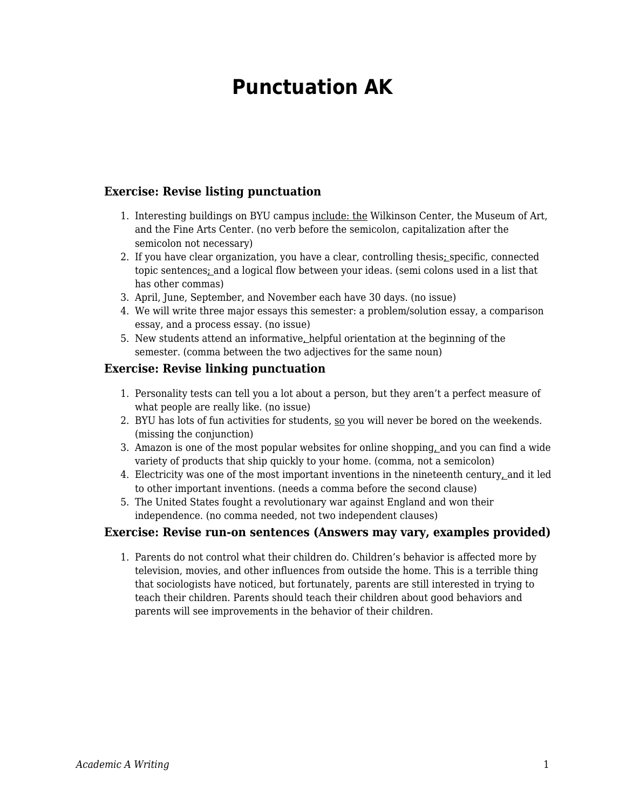## **Punctuation AK**

## **Exercise: Revise listing punctuation**

- 1. Interesting buildings on BYU campus include: the Wilkinson Center, the Museum of Art, and the Fine Arts Center. (no verb before the semicolon, capitalization after the semicolon not necessary)
- 2. If you have clear organization, you have a clear, controlling thesis; specific, connected topic sentences; and a logical flow between your ideas. (semi colons used in a list that has other commas)
- 3. April, June, September, and November each have 30 days. (no issue)
- 4. We will write three major essays this semester: a problem/solution essay, a comparison essay, and a process essay. (no issue)
- 5. New students attend an informative, helpful orientation at the beginning of the semester. (comma between the two adjectives for the same noun)

## **Exercise: Revise linking punctuation**

- 1. Personality tests can tell you a lot about a person, but they aren't a perfect measure of what people are really like. (no issue)
- 2. BYU has lots of fun activities for students, so you will never be bored on the weekends. (missing the conjunction)
- 3. Amazon is one of the most popular websites for online shopping, and you can find a wide variety of products that ship quickly to your home. (comma, not a semicolon)
- 4. Electricity was one of the most important inventions in the nineteenth century, and it led to other important inventions. (needs a comma before the second clause)
- 5. The United States fought a revolutionary war against England and won their independence. (no comma needed, not two independent clauses)

## **Exercise: Revise run-on sentences (Answers may vary, examples provided)**

1. Parents do not control what their children do. Children's behavior is affected more by television, movies, and other influences from outside the home. This is a terrible thing that sociologists have noticed, but fortunately, parents are still interested in trying to teach their children. Parents should teach their children about good behaviors and parents will see improvements in the behavior of their children.